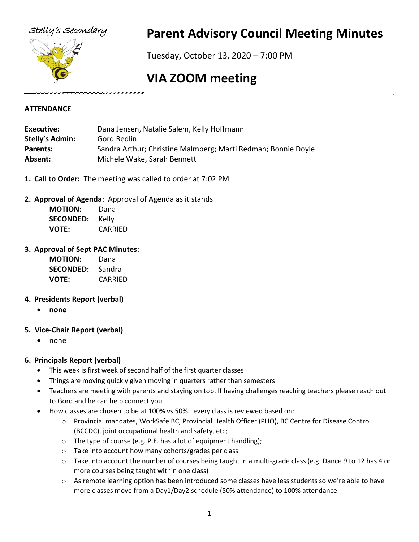

## Stelly's Secondary **Parent Advisory Council Meeting Minutes**

Tuesday, October 13, 2020 – 7:00 PM

# **VIA ZOOM meeting**

#### **ATTENDANCE**

| Executive:             | Dana Jensen, Natalie Salem, Kelly Hoffmann                    |
|------------------------|---------------------------------------------------------------|
| <b>Stelly's Admin:</b> | Gord Redlin                                                   |
| <b>Parents:</b>        | Sandra Arthur; Christine Malmberg; Marti Redman; Bonnie Doyle |
| Absent:                | Michele Wake, Sarah Bennett                                   |

- **1. Call to Order:** The meeting was called to order at 7:02 PM
- **2. Approval of Agenda**: Approval of Agenda as it stands

| <b>MOTION:</b>   | Dana    |
|------------------|---------|
| <b>SECONDED:</b> | Kelly   |
| VOTE:            | CARRIED |

#### **3. Approval of Sept PAC Minutes**:

| <b>MOTION:</b>   | Dana    |
|------------------|---------|
| <b>SECONDED:</b> | Sandra  |
| <b>VOTE:</b>     | CARRIED |

## **4. Presidents Report (verbal)**

• **none**

## **5. Vice-Chair Report (verbal)**

• none

## **6. Principals Report (verbal)**

- This week is first week of second half of the first quarter classes
- Things are moving quickly given moving in quarters rather than semesters
- Teachers are meeting with parents and staying on top. If having challenges reaching teachers please reach out to Gord and he can help connect you
- How classes are chosen to be at 100% vs 50%: every class is reviewed based on:
	- o Provincial mandates, WorkSafe BC, Provincial Health Officer (PHO), BC Centre for Disease Control (BCCDC), joint occupational health and safety, etc;
	- o The type of course (e.g. P.E. has a lot of equipment handling);
	- o Take into account how many cohorts/grades per class
	- o Take into account the number of courses being taught in a multi-grade class (e.g. Dance 9 to 12 has 4 or more courses being taught within one class)
	- o As remote learning option has been introduced some classes have less students so we're able to have more classes move from a Day1/Day2 schedule (50% attendance) to 100% attendance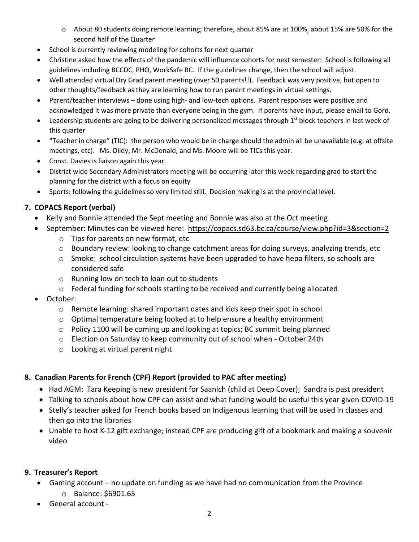- o About 80 students doing remote learning; therefore, about 85% are at 100%, about 15% are 50% for the second half of the Quarter
- School is currently reviewing modeling for cohorts for next quarter
- Christine asked how the effects of the pandemic will influence cohorts for next semester: School is following all guidelines including BCCDC, PHO, WorkSafe BC. If the guidelines change, then the school will adjust.
- Well attended virtual Dry Grad parent meeting (over 50 parents!!). Feedback was very positive, but open to other thoughts/feedback as they are learning how to run parent meetings in virtual settings.
- Parent/teacher interviews done using high- and low-tech options. Parent responses were positive and acknowledged it was more private than everyone being in the gym. If parents have input, please email to Gord.
- Leadership students are going to be delivering personalized messages through 1<sup>st</sup> block teachers in last week of this quarter
- "Teacher in charge" (TIC): the person who would be in charge should the admin all be unavailable (e.g. at offsite meetings, etc). Ms. Dildy, Mr. McDonald, and Ms. Moore will be TICs this year.
- Const. Davies is liaison again this year.
- District wide Secondary Administrators meeting will be occurring later this week regarding grad to start the planning for the district with a focus on equity
- Sports: following the guidelines so very limited still. Decision making is at the provincial level.

## **7. COPACS Report (verbal)**

- Kelly and Bonnie attended the Sept meeting and Bonnie was also at the Oct meeting
- September: Minutes can be viewed here: https://copacs.sd63.bc.ca/course/view.php?id=3&section=2
	- o Tips for parents on new format, etc
	- o Boundary review: looking to change catchment areas for doing surveys, analyzing trends, etc
	- o Smoke: school circulation systems have been upgraded to have hepa filters, so schools are considered safe
	- o Running low on tech to loan out to students
	- o Federal funding for schools starting to be received and currently being allocated
- October:
	- $\circ$  Remote learning: shared important dates and kids keep their spot in school
	- $\circ$  Optimal temperature being looked at to help ensure a healthy environment
	- $\circ$  Policy 1100 will be coming up and looking at topics; BC summit being planned
	- o Election on Saturday to keep community out of school when October 24th
	- o Looking at virtual parent night

## **8. Canadian Parents for French (CPF) Report (provided to PAC after meeting)**

- Had AGM: Tara Keeping is new president for Saanich (child at Deep Cover); Sandra is past president
- Talking to schools about how CPF can assist and what funding would be useful this year given COVID-19
- Stelly's teacher asked for French books based on Indigenous learning that will be used in classes and then go into the libraries
- Unable to host K-12 gift exchange; instead CPF are producing gift of a bookmark and making a souvenir video

## **9. Treasurer's Report**

- Gaming account no update on funding as we have had no communication from the Province
	- o Balance: \$6901.65
- General account -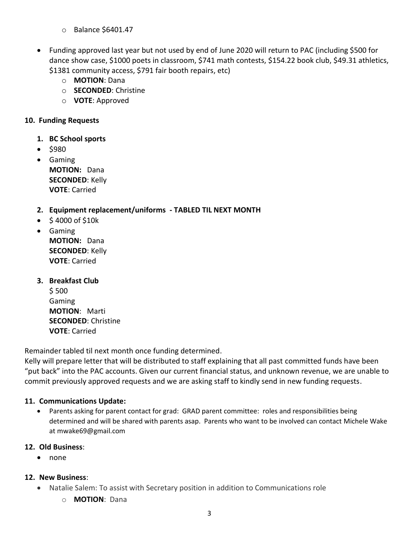- o Balance \$6401.47
- Funding approved last year but not used by end of June 2020 will return to PAC (including \$500 for dance show case, \$1000 poets in classroom, \$741 math contests, \$154.22 book club, \$49.31 athletics, \$1381 community access, \$791 fair booth repairs, etc)
	- o **MOTION**: Dana
	- o **SECONDED**: Christine
	- o **VOTE**: Approved

#### **10. Funding Requests**

- **1. BC School sports**
- \$980
- Gaming **MOTION:** Dana **SECONDED**: Kelly **VOTE**: Carried

#### **2. Equipment replacement/uniforms - TABLED TIL NEXT MONTH**

- \$ 4000 of \$10k
- Gaming **MOTION:** Dana **SECONDED**: Kelly **VOTE**: Carried
- **3. Breakfast Club** \$ 500 Gaming **MOTION**: Marti **SECONDED**: Christine **VOTE**: Carried

Remainder tabled til next month once funding determined.

Kelly will prepare letter that will be distributed to staff explaining that all past committed funds have been "put back" into the PAC accounts. Given our current financial status, and unknown revenue, we are unable to commit previously approved requests and we are asking staff to kindly send in new funding requests.

## **11. Communications Update:**

• Parents asking for parent contact for grad: GRAD parent committee: roles and responsibilities being determined and will be shared with parents asap. Parents who want to be involved can contact Michele Wake at mwake69@gmail.com

#### **12. Old Business**:

• none

## **12. New Business**:

- Natalie Salem: To assist with Secretary position in addition to Communications role
	- o **MOTION**: Dana